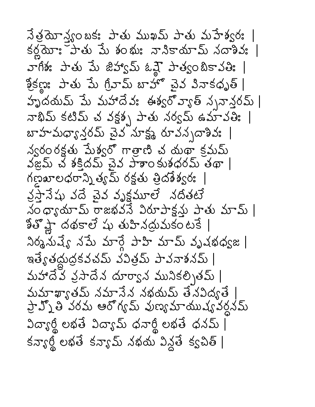$\overrightarrow{\lambda}$ త్రమోస్త్యంబక: పాతు ముఖమ్ పాతు మహేశ్వర: | కర్ణమో: కాతు పేు శంభు: నానికాయామ్ నదాశివ: | వాగీశః పాతు పేు జిహ్వప్ ఓవ్లై పాత్వంబికావతిః | శ్రీకణ్ణ: పాతు మే గ్రీవామ్ బాహొ చైవ వినాకధృత్ | హృదయమ్ మే మహాదేవ: ఈశ్వరోవ్యాత్ నృనాన్తరమ్ | నాథిమ్ కటిమ్ చ వక్షశ్చ పాతు నర్వమ్ ఉమావతిః | బాహమధ్యాన్ల పైన సూక్ష్మ రూవన్నదాశివ: | న్వరం రక్షతు మేశ్వరో గాత్రాణి చ యథా క్రమమ్ వజ్రమ్ చే శక్తిదమ్ చైన పాశాం కుశధరమ్ తథా | గణ్ణ బాలధరాన్ని త్యమ్ రక్షతు త్రిదశేశ్వరః వ్రస్తానేషు వదే చైవ వృక్షమూలే నదితటే నం ధ్యాయామ్ రాజభవనే విరూపాక్షన్తు పాతు మామ్ | కితోష్ణా దథకాలే షు తుహినద్రుమకంటకే | నిర్మనుష్యే నపేు మార్గే పాహి మామ్ వృషభధ్వజ | ఇత్యేతద్దుద్రకవచమ్ వవిత్రమ్ పావనాశనమ్ | మహాదేవ వ్రసాదేన దూర్వాన మునికల్పితమ్ | మమాఖ్యాతమ్ నమానేన నభయమ్ తేనవిద్యతే ప్రాహ్ని తే వరమ ఆరోగ్య మ్ వుణ్య మాయుష్య వర్దనమ్ విద్యార్థి లభతే విద్యామ్ ధనార్థి లభతే ధనమ్ |  $\pi s$  ကွေ့ကို စေ့ဆုံး ရှိသား အားသား သည် အားသား အားသား